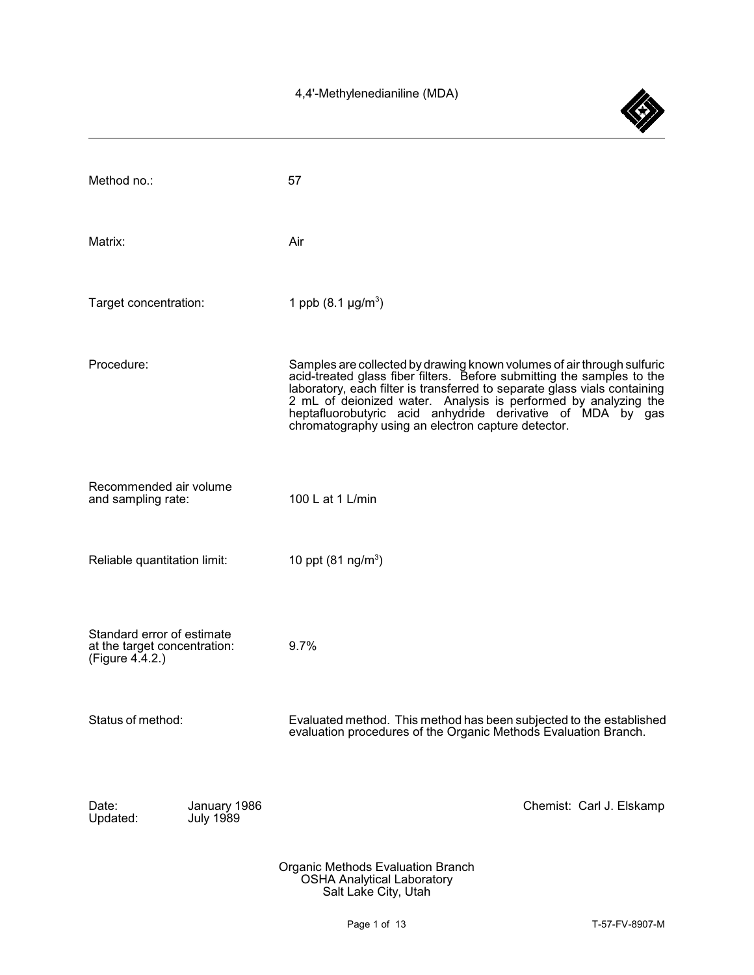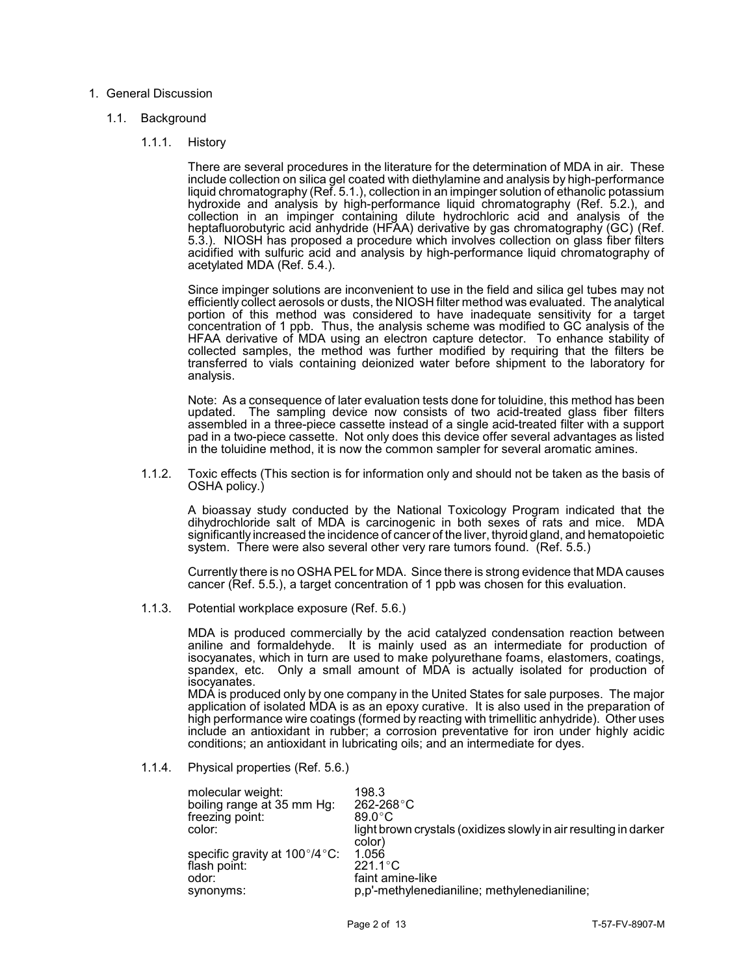# 1. General Discussion

# 1.1. Background

1.1.1. History

 There are several procedures in the literature for the determination of MDA in air. These include collection on silica gel coated with diethylamine and analysis by high-performance hydroxide and analysis by high-performance liquid chromatography (Ref. 5.2.), and acidified with sulfuric acid and analysis by high-performance liquid chromatography of liquid chromatography (Ref. 5.1.), collection in an impinger solution of ethanolic potassium collection in an impinger containing dilute hydrochloric acid and analysis of the heptafluorobutyric acid anhydride (HFAA) derivative by gas chromatography (GC) (Ref. 5.3.). NIOSH has proposed a procedure which involves collection on glass fiber filters acetylated MDA (Ref. 5.4.).

 Since impinger solutions are inconvenient to use in the field and silica gel tubes may not efficiently collect aerosols or dusts, the NIOSH filter method was evaluated. The analytical portion of this method was considered to have inadequate sensitivity for a target collected samples, the method was further modified by requiring that the filters be concentration of 1 ppb. Thus, the analysis scheme was modified to GC analysis of the HFAA derivative of MDA using an electron capture detector. To enhance stability of transferred to vials containing deionized water before shipment to the laboratory for analysis.

 Note: As a consequence of later evaluation tests done for toluidine, this method has been updated. The sampling device now consists of two acid-treated glass fiber filters pad in a two-piece cassette. Not only does this device offer several advantages as listed assembled in a three-piece cassette instead of a single acid-treated filter with a support in the toluidine method, it is now the common sampler for several aromatic amines.

 1.1.2. Toxic effects (This section is for information only and should not be taken as the basis of OSHA policy.)

 A bioassay study conducted by the National Toxicology Program indicated that the dihydrochloride salt of MDA is carcinogenic in both sexes of rats and mice. MDA significantly increased the incidence of cancer of the liver, thyroid gland, and hematopoietic system. There were also several other very rare tumors found. (Ref. 5.5.)

 Currently there is no OSHA PEL for MDA. Since there is strong evidence that MDA causes cancer (Ref. 5.5.), a target concentration of 1 ppb was chosen for this evaluation.

1.1.3. Potential workplace exposure (Ref. 5.6.)

 MDA is produced commercially by the acid catalyzed condensation reaction between aniline and formaldehyde. It is mainly used as an intermediate for production of spandex, etc. Only a small amount of MDA is actually isolated for production of isocyanates, which in turn are used to make polyurethane foams, elastomers, coatings, isocyanates.

 MDA is produced only by one company in the United States for sale purposes. The major high performance wire coatings (formed by reacting with trimellitic anhydride). Other uses application of isolated MDA is as an epoxy curative. It is also used in the preparation of include an antioxidant in rubber; a corrosion preventative for iron under highly acidic conditions; an antioxidant in lubricating oils; and an intermediate for dyes.

# 1.1.4. Physical properties (Ref. 5.6.)

| light brown crystals (oxidizes slowly in air resulting in darker |
|------------------------------------------------------------------|
|                                                                  |
|                                                                  |
|                                                                  |
|                                                                  |
|                                                                  |
|                                                                  |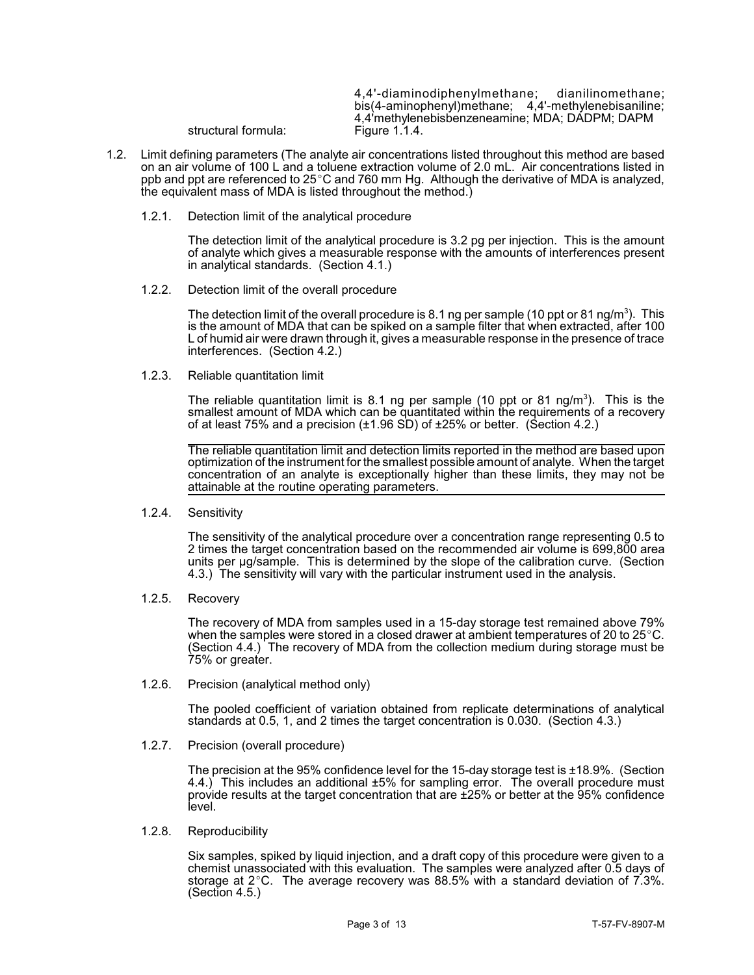4,4'-diaminodiphenylmethane; dianilinomethane; bis(4-aminophenyl)methane; 4,4'-methylenebisaniline; 4,4'methylenebisbenzeneamine; MDA; DADPM; DAPM<br>Figure 1.1.4. structural formula:

- ppb and ppt are referenced to 25 $^{\circ}$ C and 760 mm Hg. Although the derivative of MDA is analyzed, 1.2. Limit defining parameters (The analyte air concentrations listed throughout this method are based on an air volume of 100 L and a toluene extraction volume of 2.0 mL. Air concentrations listed in the equivalent mass of MDA is listed throughout the method.)
	- 1.2.1. Detection limit of the analytical procedure

 of analyte which gives a measurable response with the amounts of interferences present The detection limit of the analytical procedure is 3.2 pg per injection. This is the amount in analytical standards. (Section 4.1.)

1.2.2. Detection limit of the overall procedure

The detection limit of the overall procedure is 8.1 ng per sample (10 ppt or 81 ng/m<sup>3</sup>). This is the amount of MDA that can be spiked on a sample filter that when extracted, after 100 L of humid air were drawn through it, gives a measurable response in the presence of trace interferences. (Section 4.2.)

1.2.3. Reliable quantitation limit

The reliable quantitation limit is 8.1 ng per sample (10 ppt or 81 ng/m<sup>3</sup>). This is the smallest amount of MDA which can be quantitated within the requirements of a recovery of at least 75% and a precision (±1.96 SD) of ±25% or better. (Section 4.2.)

 optimization of the instrument for the smallest possible amount of analyte. When the target concentration of an analyte is exceptionally higher than these limits, they may not be The reliable quantitation limit and detection limits reported in the method are based upon attainable at the routine operating parameters.

1.2.4. Sensitivity

 The sensitivity of the analytical procedure over a concentration range representing 0.5 to units per µg/sample. This is determined by the slope of the calibration curve. (Section 4.3.) The sensitivity will vary with the particular instrument used in the analysis. 2 times the target concentration based on the recommended air volume is 699,800 area

1.2.5. Recovery

 The recovery of MDA from samples used in a 15-day storage test remained above 79% when the samples were stored in a closed drawer at ambient temperatures of 20 to 25 $^{\circ}$ C. (Section 4.4.) The recovery of MDA from the collection medium during storage must be 75% or greater.

1.2.6. Precision (analytical method only)

 The pooled coefficient of variation obtained from replicate determinations of analytical standards at 0.5, 1, and 2 times the target concentration is 0.030. (Section 4.3.)

1.2.7. Precision (overall procedure)

 4.4.) This includes an additional ±5% for sampling error. The overall procedure must The precision at the 95% confidence level for the 15-day storage test is  $\pm 18.9$ %. (Section provide results at the target concentration that are ±25% or better at the 95% confidence level.

1.2.8. Reproducibility

 Six samples, spiked by liquid injection, and a draft copy of this procedure were given to a storage at 2°C. The average recovery was 88.5% with a standard deviation of 7.3%. chemist unassociated with this evaluation. The samples were analyzed after 0.5 days of (Section 4.5.)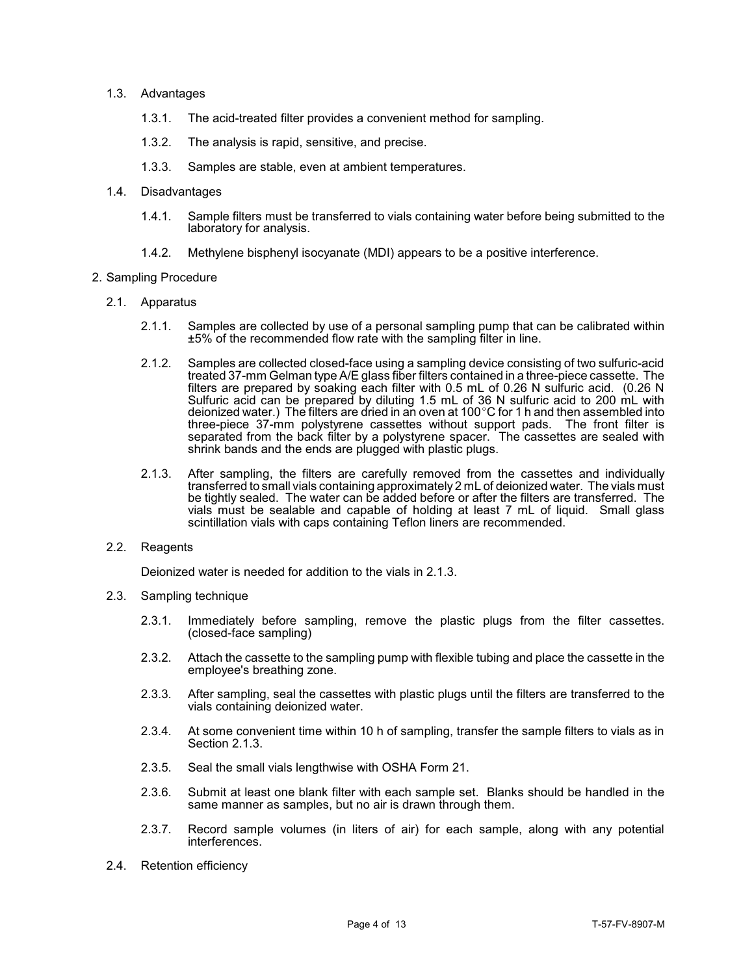# 1.3. Advantages

- 1.3.1. The acid-treated filter provides a convenient method for sampling.
- 1.3.2. The analysis is rapid, sensitive, and precise.
- 1.3.3. Samples are stable, even at ambient temperatures.
- 1.4. Disadvantages
	- 1.4.1. Sample filters must be transferred to vials containing water before being submitted to the laboratory for analysis.
	- 1.4.2. Methylene bisphenyl isocyanate (MDI) appears to be a positive interference.

# 2. Sampling Procedure

- 2.1. Apparatus
	- 2.1.1. Samples are collected by use of a personal sampling pump that can be calibrated within ±5% of the recommended flow rate with the sampling filter in line.
	- treated 37-mm Gelman type A/E glass fiber filters contained in a three-piece cassette. The ľ three-piece 37-mm polystyrene cassettes without support pads. The front filter is 2.1.2. Samples are collected closed-face using a sampling device consisting of two sulfuric-acid filters are prepared by soaking each filter with 0.5 mL of 0.26 N sulfuric acid. (0.26 N Sulfuric acid can be prepared by diluting 1.5 mL of 36 N sulfuric acid to 200 mL with deionized water.) The filters are dried in an oven at 100 $^{\circ}$ C for 1 h and then assembled into separated from the back filter by a polystyrene spacer. The cassettes are sealed with shrink bands and the ends are plugged with plastic plugs.
	- 2.1.3. After sampling, the filters are carefully removed from the cassettes and individually be tightly sealed. The water can be added before or after the filters are transferred. The vials must be sealable and capable of holding at least 7 mL of liquid. Small glass transferred to small vials containing approximately 2 mL of deionized water. The vials must scintillation vials with caps containing Teflon liners are recommended.

# 2.2. Reagents

Deionized water is needed for addition to the vials in 2.1.3.

- 2.3. Sampling technique
	- 2.3.1. Immediately before sampling, remove the plastic plugs from the filter cassettes. (closed-face sampling)
	- 2.3.2. Attach the cassette to the sampling pump with flexible tubing and place the cassette in the employee's breathing zone.
	- 2.3.3. After sampling, seal the cassettes with plastic plugs until the filters are transferred to the vials containing deionized water.
	- 2.3.4. At some convenient time within 10 h of sampling, transfer the sample filters to vials as in Section 2.1.3.
	- 2.3.5. Seal the small vials lengthwise with OSHA Form 21.
	- 2.3.6. Submit at least one blank filter with each sample set. Blanks should be handled in the same manner as samples, but no air is drawn through them.
	- 2.3.7. Record sample volumes (in liters of air) for each sample, along with any potential interferences.
- 2.4. Retention efficiency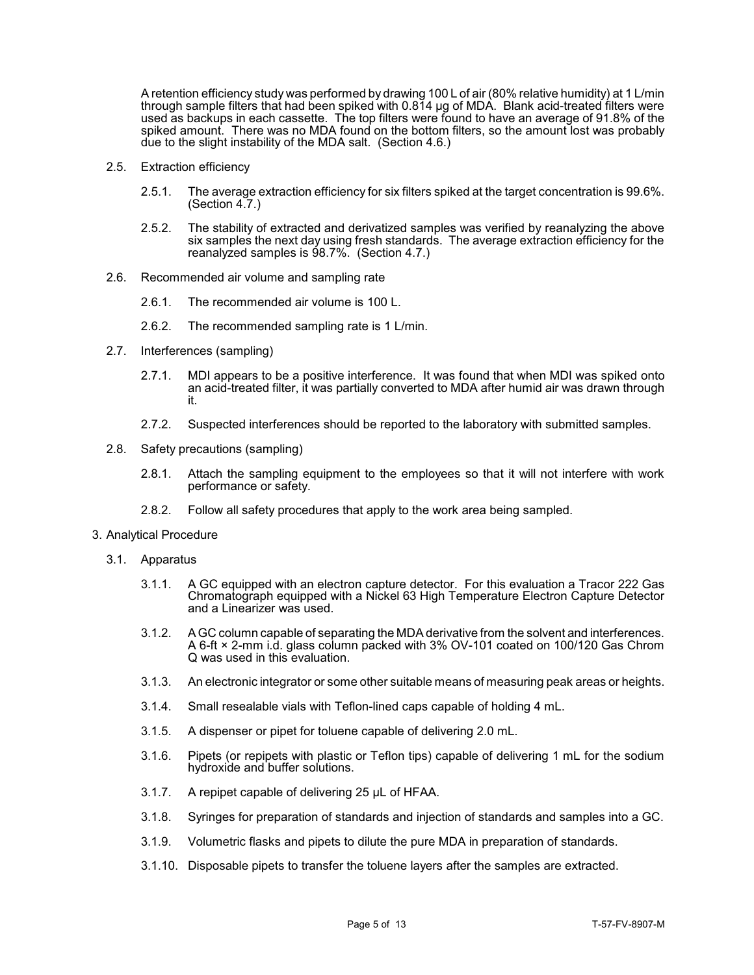Ì, A retention efficiency study was performed by drawing 100 L of air (80% relative humidity) at 1 L/min through sample filters that had been spiked with 0.814 µg of MDA. Blank acid-treated filters were used as backups in each cassette. The top filters were found to have an average of 91.8% of the spiked amount. There was no MDA found on the bottom filters, so the amount lost was probably due to the slight instability of the MDA salt. (Section 4.6.)

- 2.5. Extraction efficiency
	- 2.5.1. The average extraction efficiency for six filters spiked at the target concentration is 99.6%. (Section 4.7.)
	- 2.5.2. The stability of extracted and derivatized samples was verified by reanalyzing the above six samples the next day using fresh standards. The average extraction efficiency for the reanalyzed samples is 98.7%. (Section 4.7.)
- 2.6. Recommended air volume and sampling rate
	- 2.6.1. The recommended air volume is 100 L.
	- 2.6.2. The recommended sampling rate is 1 L/min.
- 2.7. Interferences (sampling)
	- 2.7.1. MDI appears to be a positive interference. It was found that when MDI was spiked onto an acid-treated filter, it was partially converted to MDA after humid air was drawn through it.
	- 2.7.2. Suspected interferences should be reported to the laboratory with submitted samples.
- 2.8. Safety precautions (sampling)
	- 2.8.1. Attach the sampling equipment to the employees so that it will not interfere with work performance or safety.
	- 2.8.2. Follow all safety procedures that apply to the work area being sampled.

# 3. Analytical Procedure

- 3.1. Apparatus
	- 3.1.1. A GC equipped with an electron capture detector. For this evaluation a Tracor 222 Gas Chromatograph equipped with a Nickel 63 High Temperature Electron Capture Detector and a Linearizer was used.
	- 3.1.2. A GC column capable of separating the MDA derivative from the solvent and interferences. A 6-ft × 2-mm i.d. glass column packed with 3% OV-101 coated on 100/120 Gas Chrom Q was used in this evaluation.
	- 3.1.3. An electronic integrator or some other suitable means of measuring peak areas or heights.
	- 3.1.4. Small resealable vials with Teflon-lined caps capable of holding 4 mL.
	- 3.1.5. A dispenser or pipet for toluene capable of delivering 2.0 mL.
	- 3.1.6. Pipets (or repipets with plastic or Teflon tips) capable of delivering 1 mL for the sodium hydroxide and buffer solutions.
	- 3.1.7. A repipet capable of delivering 25 µL of HFAA.
	- 3.1.8. Syringes for preparation of standards and injection of standards and samples into a GC.
	- 3.1.9. Volumetric flasks and pipets to dilute the pure MDA in preparation of standards.
	- 3.1.10. Disposable pipets to transfer the toluene layers after the samples are extracted.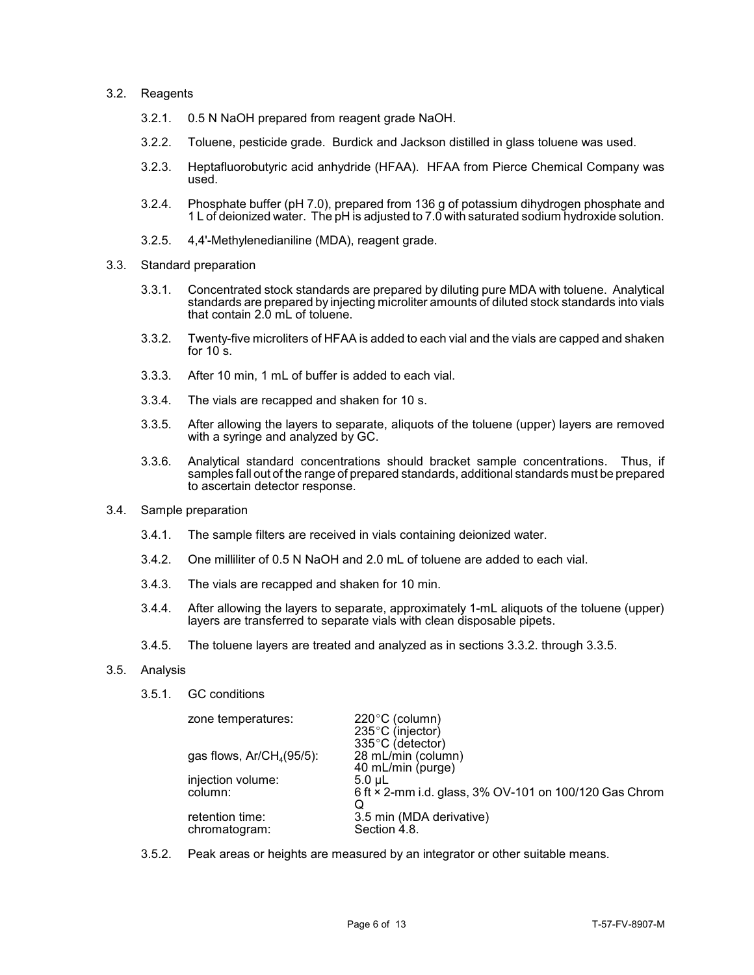# 3.2. Reagents

- 3.2.1. 0.5 N NaOH prepared from reagent grade NaOH.
- 3.2.2. Toluene, pesticide grade. Burdick and Jackson distilled in glass toluene was used.
- 3.2.3. Heptafluorobutyric acid anhydride (HFAA). HFAA from Pierce Chemical Company was used.
- 3.2.4. Phosphate buffer (pH 7.0), prepared from 136 g of potassium dihydrogen phosphate and 1 L of deionized water. The pH is adjusted to 7.0 with saturated sodium hydroxide solution.
- 3.2.5. 4,4'-Methylenedianiline (MDA), reagent grade.
- 3.3. Standard preparation
	- 3.3.1. Concentrated stock standards are prepared by diluting pure MDA with toluene. Analytical standards are prepared by injecting microliter amounts of diluted stock standards into vials that contain 2.0 mL of toluene.
	- 3.3.2. Twenty-five microliters of HFAA is added to each vial and the vials are capped and shaken for  $10 \text{ s}$ .
	- 3.3.3. After 10 min, 1 mL of buffer is added to each vial.
	- 3.3.4. The vials are recapped and shaken for 10 s.
	- 3.3.5. After allowing the layers to separate, aliquots of the toluene (upper) layers are removed with a syringe and analyzed by GC.
	- samples fall out of the range of prepared standards, additional standards must be prepared 3.3.6. Analytical standard concentrations should bracket sample concentrations. Thus, if to ascertain detector response.
- 3.4. Sample preparation
	- 3.4.1. The sample filters are received in vials containing deionized water.
	- 3.4.2. One milliliter of 0.5 N NaOH and 2.0 mL of toluene are added to each vial.
	- 3.4.3. The vials are recapped and shaken for 10 min.
	- 3.4.4. After allowing the layers to separate, approximately 1-mL aliquots of the toluene (upper) layers are transferred to separate vials with clean disposable pipets.
	- 3.4.5. The toluene layers are treated and analyzed as in sections 3.3.2. through 3.3.5.
- 3.5. Analysis
	- 3.5.1. GC conditions

| zone temperatures:               | 220°C (column)<br>$235^{\circ}$ C (injector)<br>335°C (detector)           |
|----------------------------------|----------------------------------------------------------------------------|
| gas flows, $Ar/CH4(95/5)$ :      | 28 mL/min (column)<br>40 mL/min (purge)                                    |
| injection volume:<br>column:     | $5.0 \mu L$<br>6 ft × 2-mm i.d. glass, 3% OV-101 on 100/120 Gas Chrom<br>Q |
| retention time:<br>chromatogram: | 3.5 min (MDA derivative)<br>Section 4.8.                                   |

3.5.2. Peak areas or heights are measured by an integrator or other suitable means.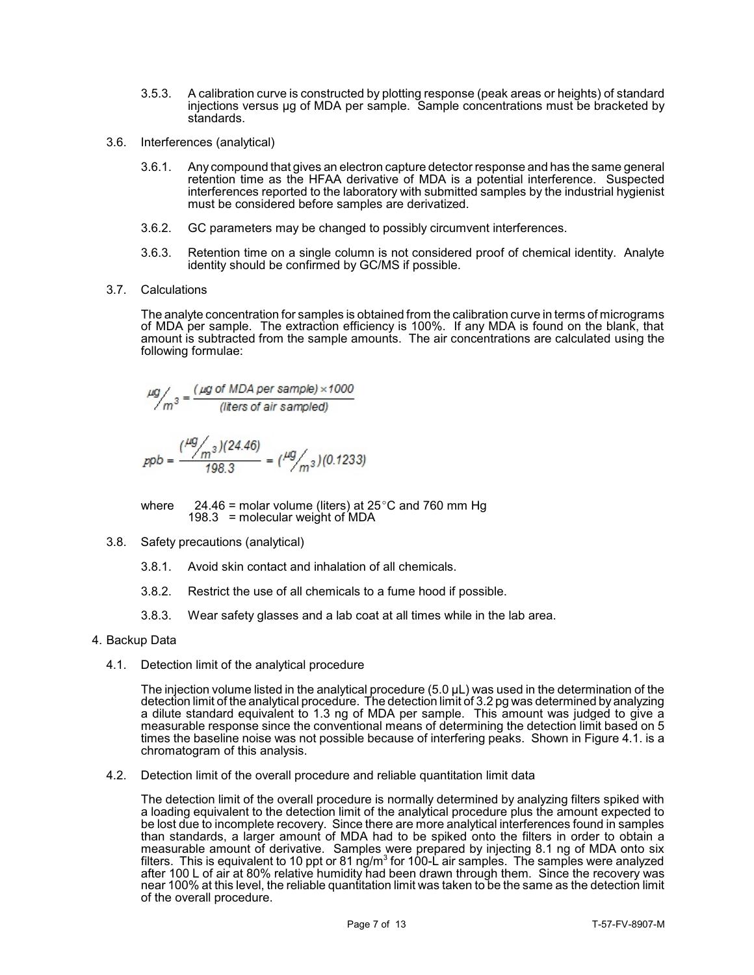- 3.5.3. A calibration curve is constructed by plotting response (peak areas or heights) of standard injections versus µg of MDA per sample. Sample concentrations must be bracketed by standards.
- 3.6. Interferences (analytical)
	- retention time as the HFAA derivative of MDA is a potential interference. Suspected 3.6.1. Any compound that gives an electron capture detector response and has the same general interferences reported to the laboratory with submitted samples by the industrial hygienist must be considered before samples are derivatized.
	- 3.6.2. GC parameters may be changed to possibly circumvent interferences.
	- 3.6.3. Retention time on a single column is not considered proof of chemical identity. Analyte identity should be confirmed by GC/MS if possible.
- 3.7. Calculations

 The analyte concentration for samples is obtained from the calibration curve in terms of micrograms of MDA per sample. The extraction efficiency is 100%. If any MDA is found on the blank, that amount is subtracted from the sample amounts. The air concentrations are calculated using the following formulae:

$$
\mu g /_{m^3} = \frac{(\mu g \text{ of MDA per sample}) \times 1000}{(\text{liters of air sampled})}
$$

$$
ppb = \frac{\binom{\mu g}{m^3}(24.46)}{198.3} = \binom{\mu g}{m^3}(0.1233)
$$

where  $24.46$  = molar volume (liters) at 25 $^{\circ}$ C and 760 mm Hg 198.3 = molecular weight of  $MDA$ 

- 3.8. Safety precautions (analytical)
	- 3.8.1. Avoid skin contact and inhalation of all chemicals.
	- 3.8.2. Restrict the use of all chemicals to a fume hood if possible.
	- 3.8.3. Wear safety glasses and a lab coat at all times while in the lab area.

# 4. Backup Data

4.1. Detection limit of the analytical procedure

 $\overline{\phantom{a}}$  a dilute standard equivalent to 1.3 ng of MDA per sample. This amount was judged to give a measurable response since the conventional means of determining the detection limit based on 5 The injection volume listed in the analytical procedure (5.0 µL) was used in the determination of the detection limit of the analytical procedure. The detection limit of 3.2 pg was determined by analyzing times the baseline noise was not possible because of interfering peaks. Shown in Figure 4.1. is a chromatogram of this analysis.

4.2. Detection limit of the overall procedure and reliable quantitation limit data

 measurable amount of derivative. Samples were prepared by injecting 8.1 ng of MDA onto six filters. This is equivalent to 10 ppt or 81 ng/m $^3$  for 100-L air samples. The samples were analyzed near 100% at this level, the reliable quantitation limit was taken to be the same as the detection limit The detection limit of the overall procedure is normally determined by analyzing filters spiked with a loading equivalent to the detection limit of the analytical procedure plus the amount expected to be lost due to incomplete recovery. Since there are more analytical interferences found in samples than standards, a larger amount of MDA had to be spiked onto the filters in order to obtain a after 100 L of air at 80% relative humidity had been drawn through them. Since the recovery was of the overall procedure.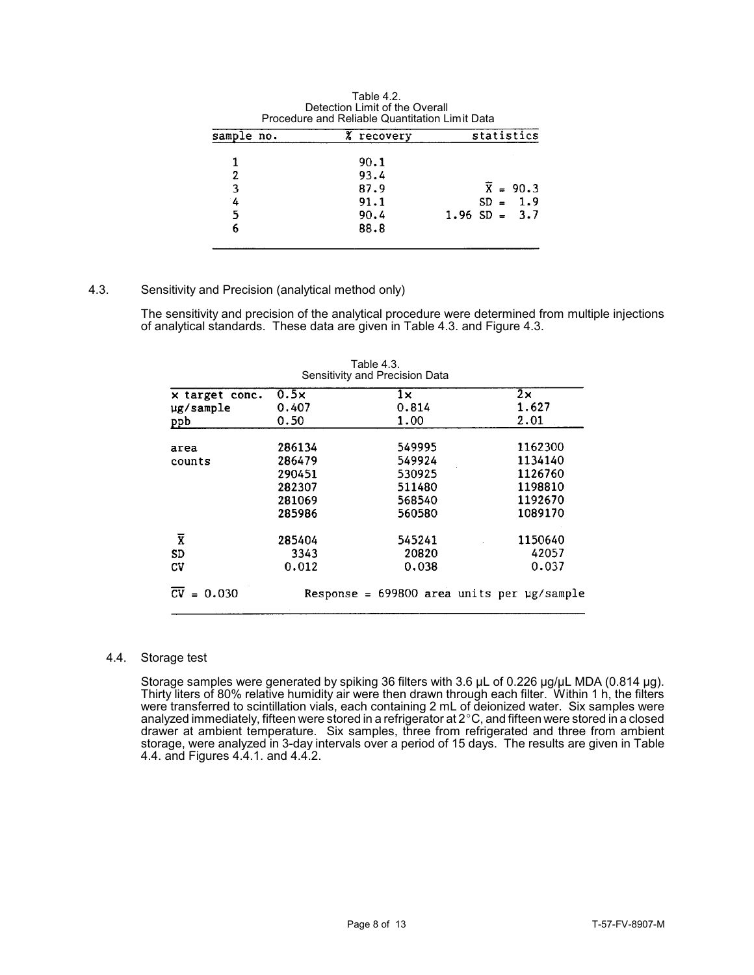| Detection Limit of the Overall<br>Procedure and Reliable Quantitation Limit Data |  |                |                   |  |
|----------------------------------------------------------------------------------|--|----------------|-------------------|--|
| sample no.                                                                       |  | z.<br>recovery | statistics        |  |
|                                                                                  |  | 90.1           |                   |  |
| 2                                                                                |  | 93.4           |                   |  |
| 3                                                                                |  | 87.9           | $\bar{X} = 90.3$  |  |
| 4                                                                                |  | 91.1           | 1.9<br>$SD =$     |  |
| 5                                                                                |  | 90.4           | $1.96$ SD = $3.7$ |  |
|                                                                                  |  | 88.8           |                   |  |

Table 4.2.

# 4.3. Sensitivity and Precision (analytical method only)

The sensitivity and precision of the analytical procedure were determined from multiple injections of analytical standards. These data are given in Table 4.3. and Figure 4.3.

| Table 4.3.<br>Sensitivity and Precision Data |               |                                                   |                    |  |
|----------------------------------------------|---------------|---------------------------------------------------|--------------------|--|
| x target conc.<br>ug/sample                  | 0.5x<br>0.407 | $1\times$<br>0.814                                | $2\times$<br>1.627 |  |
| ppb                                          | 0.50          | 1.00                                              | 2.01               |  |
| area                                         | 286134        | 549995                                            | 1162300            |  |
| counts                                       | 286479        | 549924                                            | 1134140            |  |
|                                              | 290451        | 530925                                            | 1126760            |  |
|                                              | 282307        | 511480                                            | 1198810            |  |
|                                              | 281069        | 568540                                            | 1192670            |  |
|                                              | 285986        | 560580                                            | 1089170            |  |
| $\overline{\textbf{X}}$                      | 285404        | 545241                                            | 1150640            |  |
| <b>SD</b>                                    | 3343          | 20820                                             | 42057              |  |
| CV                                           | 0.012         | 0.038                                             | 0.037              |  |
| $\bar{CV} = 0.030$                           |               | Response = $699800$ area units per $\mu$ g/sample |                    |  |

# Table 4.3.

# 4.4. Storage test

 drawer at ambient temperature. Six samples, three from refrigerated and three from ambient storage, were analyzed in 3-day intervals over a period of 15 days. The results are given in Table Storage samples were generated by spiking 36 filters with 3.6 µL of 0.226 µg/µL MDA (0.814 µg). Thirty liters of 80% relative humidity air were then drawn through each filter. Within 1 h, the filters were transferred to scintillation vials, each containing 2 mL of deionized water. Six samples were analyzed immediately, fifteen were stored in a refrigerator at 2  $^\circ$ C, and fifteen were stored in a closed 4.4. and Figures 4.4.1. and 4.4.2.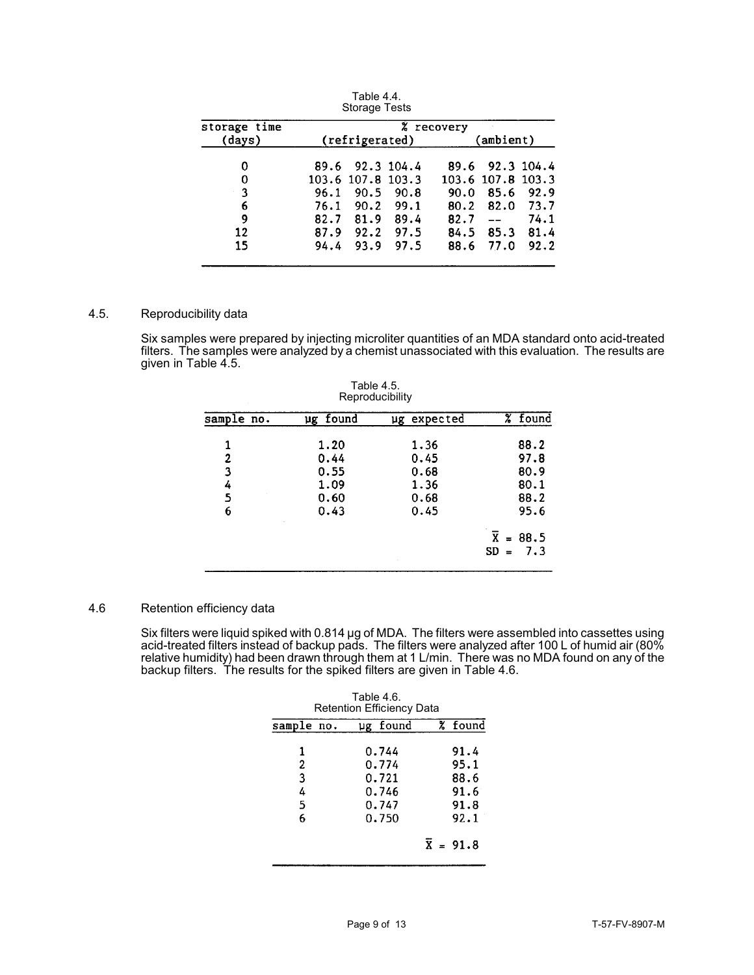|              |                | Storage rests     |      |            |                   |      |
|--------------|----------------|-------------------|------|------------|-------------------|------|
| storage time | % recovery     |                   |      |            |                   |      |
| (days)       | (refrigerated) |                   |      |            | (ambient)         |      |
| 0            |                | 89.6 92.3 104.4   |      |            | 89.6 92.3 104.4   |      |
| 0            |                | 103.6 107.8 103.3 |      |            | 103.6 107.8 103.3 |      |
| 3            | 96.1           | 90.5              | 90.8 | 90.0       | 85.6              | 92.9 |
| 6            | 76.1           | 90.2              | 99.1 | 80.2       | 82.0              | 73.7 |
| 9            | 82.7           | 81.9              | 89.4 | $82.7 - -$ |                   | 74.1 |
| 12           | 87.9           | 92.2              | 97.5 | 84.5       | 85.3              | 81.4 |
| 15           | 94.4           | 93.9              | 97.5 | 88.6       | 77.0              | 92.2 |

Table 4.4. Storage Tests

# 4.5. Reproducibility data

  $\overline{a}$ Six samples were prepared by injecting microliter quantities of an MDA standard onto acid-treated filters. The samples were analyzed by a chemist unassociated with this evaluation. The results are given in Table 4.5.

| Table 4.5.<br>Reproducibility |                                              |                                              |                                              |  |
|-------------------------------|----------------------------------------------|----------------------------------------------|----------------------------------------------|--|
| sample no.                    | ug found                                     | ug expected                                  | % found                                      |  |
| 2<br>3<br>4<br>5<br>6         | 1.20<br>0.44<br>0.55<br>1.09<br>0.60<br>0.43 | 1.36<br>0.45<br>0.68<br>1.36<br>0.68<br>0.45 | 88.2<br>97.8<br>80.9<br>80.1<br>88.2<br>95.6 |  |
|                               |                                              |                                              | X<br>88.5<br>$\equiv$<br>7.3<br>$SD =$       |  |

#### 4.6 Retention efficiency data

j j j Six filters were liquid spiked with 0.814  $\mu$ g of MDA. The filters were assembled into cassettes using acid-treated filters instead of backup pads. The filters were analyzed after 100 L of humid air (80% relative humidity) had been drawn through them at 1 L/min. There was no MDA found on any of the backup filters. The results for the spiked filters are given in Table 4.6.

| Table 4.6.<br><b>Retention Efficiency Data</b> |                                                    |  |                                              |  |  |
|------------------------------------------------|----------------------------------------------------|--|----------------------------------------------|--|--|
| sample no.                                     | ug found                                           |  | % found                                      |  |  |
| 1<br>2<br>3<br>4<br>5<br>6                     | 0.744<br>0.774<br>0.721<br>0.746<br>0.747<br>0.750 |  | 91.4<br>95.1<br>88.6<br>91.6<br>91.8<br>92.1 |  |  |
|                                                |                                                    |  | $\bar{x} = 91.8$                             |  |  |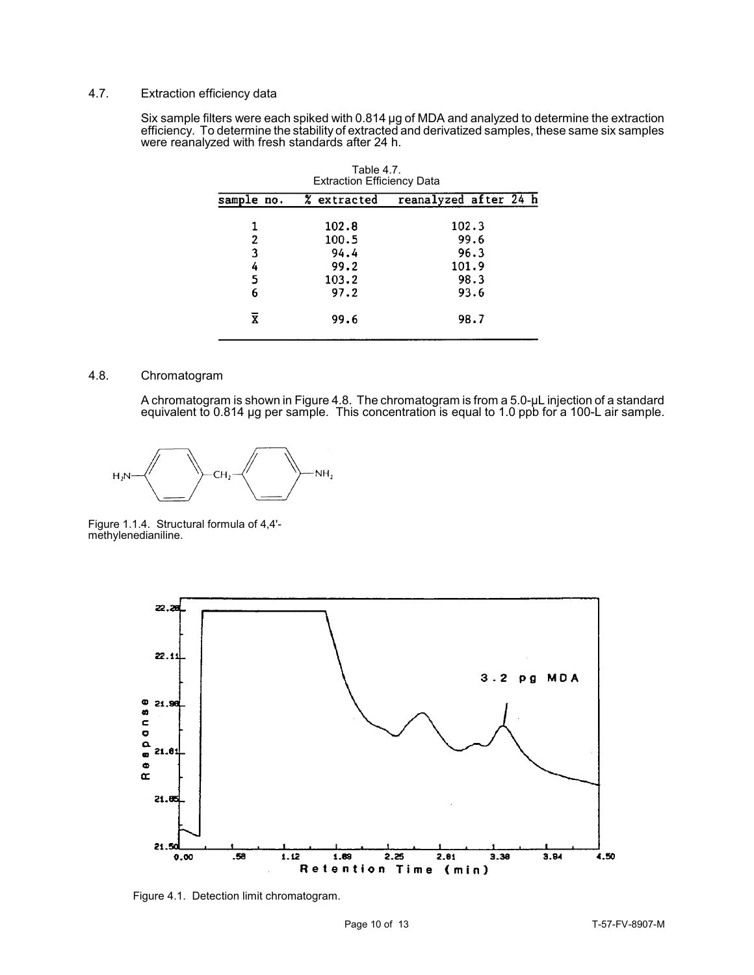# 4.7. Extraction efficiency data

 $\overline{\phantom{a}}$ Six sample filters were each spiked with 0.814 µg of MDA and analyzed to determine the extraction efficiency. To determine the stability of extracted and derivatized samples, these same six samples were reanalyzed with fresh standards after 24 h.

| Table 4.7.<br><b>Extraction Efficiency Data</b> |                                                 |                                                |                                      |  |  |
|-------------------------------------------------|-------------------------------------------------|------------------------------------------------|--------------------------------------|--|--|
| sample no.                                      |                                                 |                                                |                                      |  |  |
|                                                 | 102.8<br>100.5<br>94.4<br>99.2<br>103.2<br>97.2 | 102.3<br>99.6<br>96.3<br>101.9<br>98.3<br>93.6 |                                      |  |  |
|                                                 | 99.6                                            | 98.7                                           |                                      |  |  |
|                                                 |                                                 |                                                | reanalyzed after 24 h<br>% extracted |  |  |

# 4.8. Chromatogram

 A chromatogram is shown in Figure 4.8. The chromatogram is from a 5.0-µL injection of a standard equivalent to 0.814 µg per sample. This concentration is equal to 1.0 ppb for a 100-L air sample.



Figure 1.1.4. Structural formula of 4,4' methylenedianiline.



Figure 4.1. Detection limit chromatogram.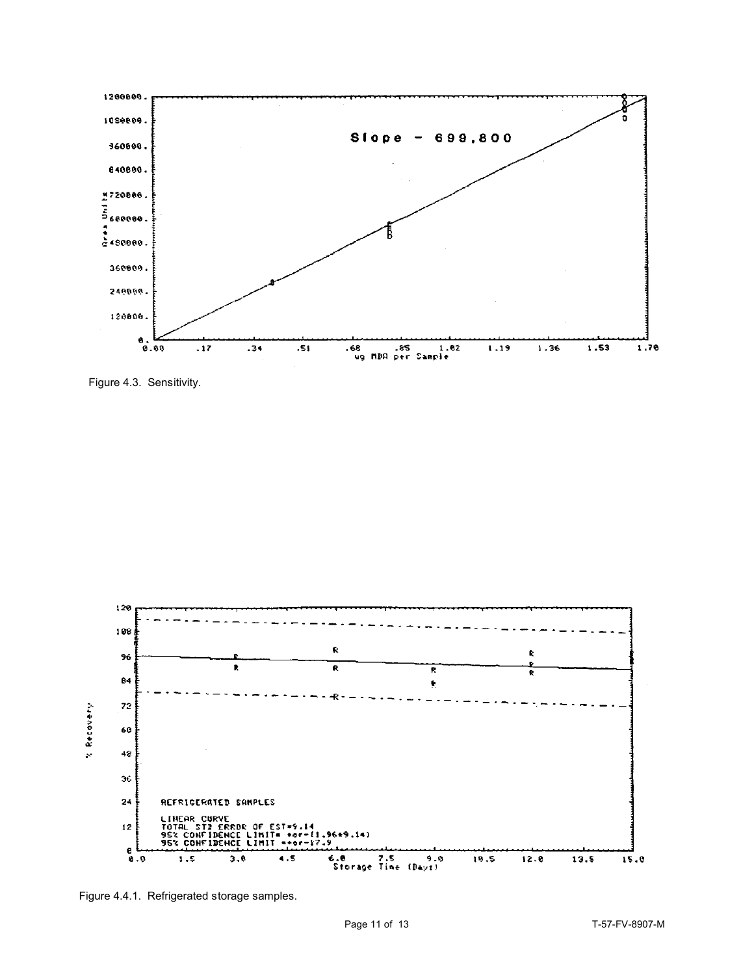

Figure 4.3. Sensitivity.



Figure 4.4.1. Refrigerated storage samples.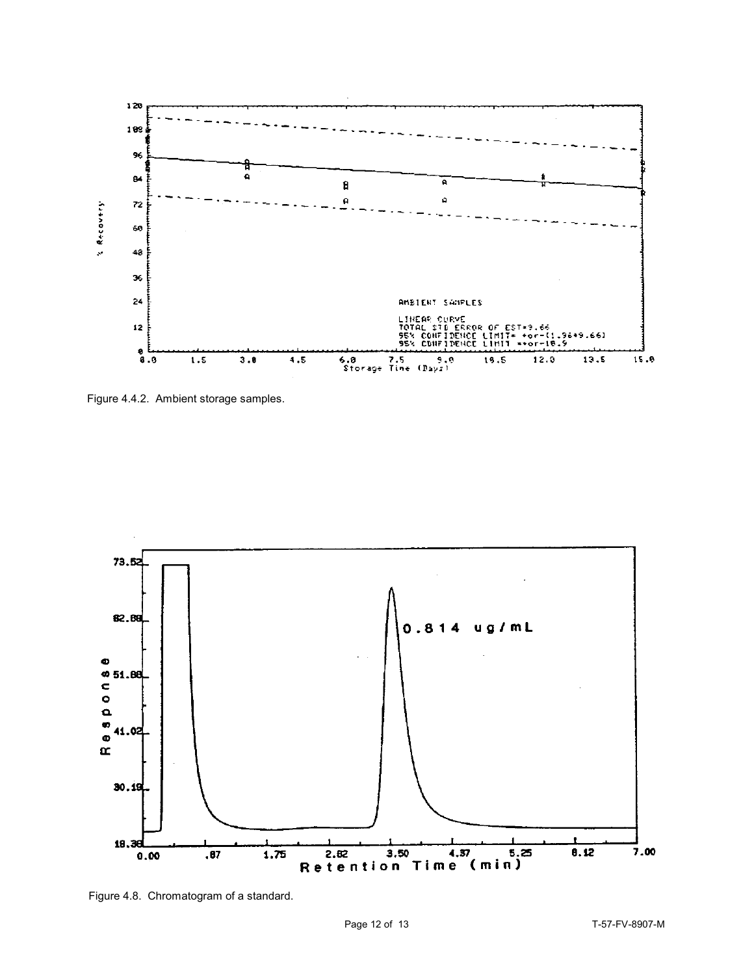

Figure 4.4.2. Ambient storage samples.



Figure 4.8. Chromatogram of a standard.